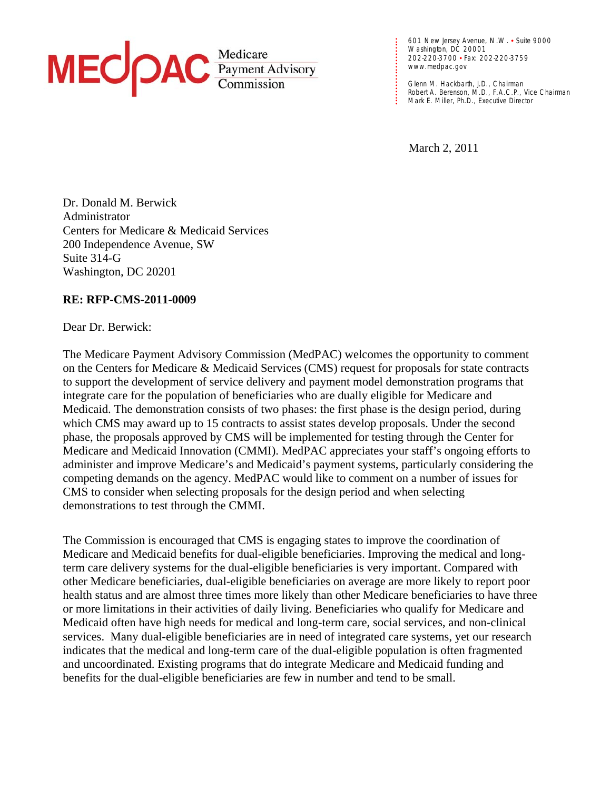

**. . . . . . . . . . . . . . .**  601 New Jersey Avenue, N.W. • Suite 9000 Washington, DC 20001 202-220-3700 • Fax: 202-220-3759 www.medpac.gov

**. . .** 

**. • Robert A. Berenson, M.D., F.A.C.P., Vice<br>
<b>. Mark E. Miller, Ph.D., Executive Director** Glenn M. Hackbarth, J.D., Chairman Robert A. Berenson, M.D., F.A.C.P., Vice Chairman

March 2, 2011

Dr. Donald M. Berwick Administrator Centers for Medicare & Medicaid Services 200 Independence Avenue, SW Suite 314-G Washington, DC 20201

### **RE: RFP-CMS-2011-0009**

Dear Dr. Berwick:

The Medicare Payment Advisory Commission (MedPAC) welcomes the opportunity to comment on the Centers for Medicare & Medicaid Services (CMS) request for proposals for state contracts to support the development of service delivery and payment model demonstration programs that integrate care for the population of beneficiaries who are dually eligible for Medicare and Medicaid. The demonstration consists of two phases: the first phase is the design period, during which CMS may award up to 15 contracts to assist states develop proposals. Under the second phase, the proposals approved by CMS will be implemented for testing through the Center for Medicare and Medicaid Innovation (CMMI). MedPAC appreciates your staff's ongoing efforts to administer and improve Medicare's and Medicaid's payment systems, particularly considering the competing demands on the agency. MedPAC would like to comment on a number of issues for CMS to consider when selecting proposals for the design period and when selecting demonstrations to test through the CMMI.

The Commission is encouraged that CMS is engaging states to improve the coordination of Medicare and Medicaid benefits for dual-eligible beneficiaries. Improving the medical and longterm care delivery systems for the dual-eligible beneficiaries is very important. Compared with other Medicare beneficiaries, dual-eligible beneficiaries on average are more likely to report poor health status and are almost three times more likely than other Medicare beneficiaries to have three or more limitations in their activities of daily living. Beneficiaries who qualify for Medicare and Medicaid often have high needs for medical and long-term care, social services, and non-clinical services. Many dual-eligible beneficiaries are in need of integrated care systems, yet our research indicates that the medical and long-term care of the dual-eligible population is often fragmented and uncoordinated. Existing programs that do integrate Medicare and Medicaid funding and benefits for the dual-eligible beneficiaries are few in number and tend to be small.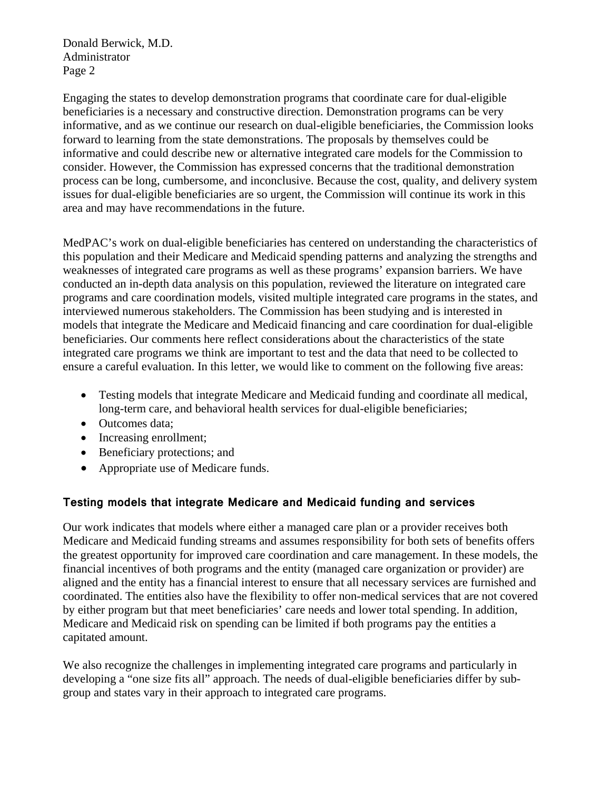Donald Berwick, M.D. Administrator Page 2

Engaging the states to develop demonstration programs that coordinate care for dual-eligible beneficiaries is a necessary and constructive direction. Demonstration programs can be very informative, and as we continue our research on dual-eligible beneficiaries, the Commission looks forward to learning from the state demonstrations. The proposals by themselves could be informative and could describe new or alternative integrated care models for the Commission to consider. However, the Commission has expressed concerns that the traditional demonstration process can be long, cumbersome, and inconclusive. Because the cost, quality, and delivery system issues for dual-eligible beneficiaries are so urgent, the Commission will continue its work in this area and may have recommendations in the future.

MedPAC's work on dual-eligible beneficiaries has centered on understanding the characteristics of this population and their Medicare and Medicaid spending patterns and analyzing the strengths and weaknesses of integrated care programs as well as these programs' expansion barriers. We have conducted an in-depth data analysis on this population, reviewed the literature on integrated care programs and care coordination models, visited multiple integrated care programs in the states, and interviewed numerous stakeholders. The Commission has been studying and is interested in models that integrate the Medicare and Medicaid financing and care coordination for dual-eligible beneficiaries. Our comments here reflect considerations about the characteristics of the state integrated care programs we think are important to test and the data that need to be collected to ensure a careful evaluation. In this letter, we would like to comment on the following five areas:

- Testing models that integrate Medicare and Medicaid funding and coordinate all medical, long-term care, and behavioral health services for dual-eligible beneficiaries;
- Outcomes data;
- Increasing enrollment;
- Beneficiary protections; and
- Appropriate use of Medicare funds.

# **Testing models that integrate Medicare and Medicaid funding and services**

Our work indicates that models where either a managed care plan or a provider receives both Medicare and Medicaid funding streams and assumes responsibility for both sets of benefits offers the greatest opportunity for improved care coordination and care management. In these models, the financial incentives of both programs and the entity (managed care organization or provider) are aligned and the entity has a financial interest to ensure that all necessary services are furnished and coordinated. The entities also have the flexibility to offer non-medical services that are not covered by either program but that meet beneficiaries' care needs and lower total spending. In addition, Medicare and Medicaid risk on spending can be limited if both programs pay the entities a capitated amount.

We also recognize the challenges in implementing integrated care programs and particularly in developing a "one size fits all" approach. The needs of dual-eligible beneficiaries differ by subgroup and states vary in their approach to integrated care programs.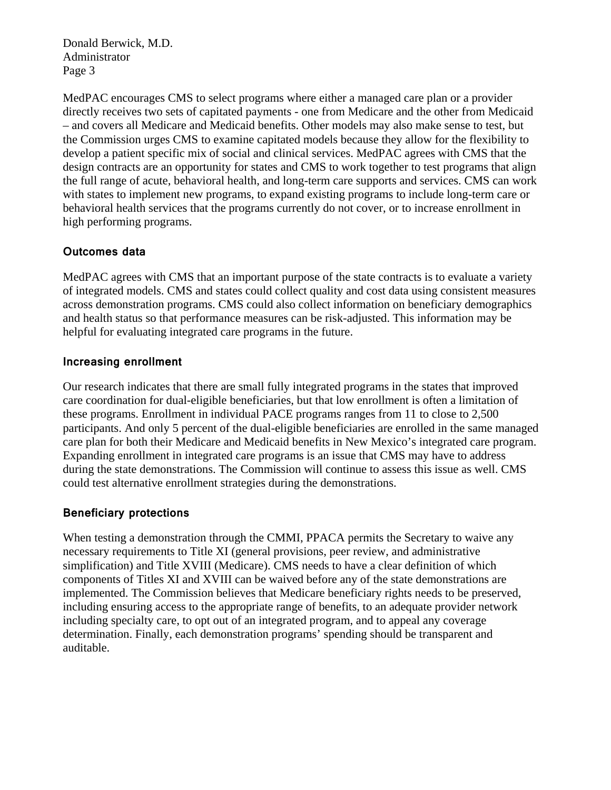Donald Berwick, M.D. Administrator Page 3

MedPAC encourages CMS to select programs where either a managed care plan or a provider directly receives two sets of capitated payments - one from Medicare and the other from Medicaid – and covers all Medicare and Medicaid benefits. Other models may also make sense to test, but the Commission urges CMS to examine capitated models because they allow for the flexibility to develop a patient specific mix of social and clinical services. MedPAC agrees with CMS that the design contracts are an opportunity for states and CMS to work together to test programs that align the full range of acute, behavioral health, and long-term care supports and services. CMS can work with states to implement new programs, to expand existing programs to include long-term care or behavioral health services that the programs currently do not cover, or to increase enrollment in high performing programs.

## **Outcomes data**

MedPAC agrees with CMS that an important purpose of the state contracts is to evaluate a variety of integrated models. CMS and states could collect quality and cost data using consistent measures across demonstration programs. CMS could also collect information on beneficiary demographics and health status so that performance measures can be risk-adjusted. This information may be helpful for evaluating integrated care programs in the future.

## **Increasing enrollment**

Our research indicates that there are small fully integrated programs in the states that improved care coordination for dual-eligible beneficiaries, but that low enrollment is often a limitation of these programs. Enrollment in individual PACE programs ranges from 11 to close to 2,500 participants. And only 5 percent of the dual-eligible beneficiaries are enrolled in the same managed care plan for both their Medicare and Medicaid benefits in New Mexico's integrated care program. Expanding enrollment in integrated care programs is an issue that CMS may have to address during the state demonstrations. The Commission will continue to assess this issue as well. CMS could test alternative enrollment strategies during the demonstrations.

## **Beneficiary protections**

When testing a demonstration through the CMMI, PPACA permits the Secretary to waive any necessary requirements to Title XI (general provisions, peer review, and administrative simplification) and Title XVIII (Medicare). CMS needs to have a clear definition of which components of Titles XI and XVIII can be waived before any of the state demonstrations are implemented. The Commission believes that Medicare beneficiary rights needs to be preserved, including ensuring access to the appropriate range of benefits, to an adequate provider network including specialty care, to opt out of an integrated program, and to appeal any coverage determination. Finally, each demonstration programs' spending should be transparent and auditable.